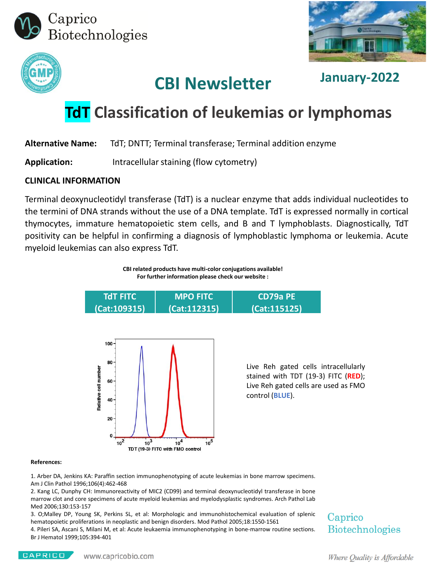





## **CBI Newsletter January-2022**

# **TdT Classification of leukemias or lymphomas**

**Alternative Name:** TdT; DNTT; Terminal transferase; Terminal addition enzyme

**Application:** Intracellular staining (flow cytometry)

#### **CLINICAL INFORMATION**

Terminal deoxynucleotidyl transferase (TdT) is a nuclear enzyme that adds individual nucleotides to the termini of DNA strands without the use of a DNA template. TdT is expressed normally in cortical thymocytes, immature hematopoietic stem cells, and B and T lymphoblasts. Diagnostically, TdT positivity can be helpful in confirming a diagnosis of lymphoblastic lymphoma or leukemia. Acute myeloid leukemias can also express TdT.





#### **References:**

1. Arber DA, Jenkins KA: Paraffin section immunophenotyping of acute leukemias in bone marrow specimens. Am J Clin Pathol 1996;106(4):462-468

2. Kang LC, Dunphy CH: Immunoreactivity of MIC2 (CD99) and terminal deoxynucleotidyl transferase in bone marrow clot and core specimens of acute myeloid leukemias and myelodysplastic syndromes. Arch Pathol Lab Med 2006;130:153-157

3. O;Malley DP, Young SK, Perkins SL, et al: Morphologic and immunohistochemical evaluation of splenic hematopoietic proliferations in neoplastic and benign disorders. Mod Pathol 2005;18:1550-1561

4. Pileri SA, Ascani S, Milani M, et al: Acute leukaemia immunophenotyping in bone-marrow routine sections. Br J Hematol 1999;105:394-401

### Caprico **Biotechnologies**

CAPRICO

Where Quality is Affordable